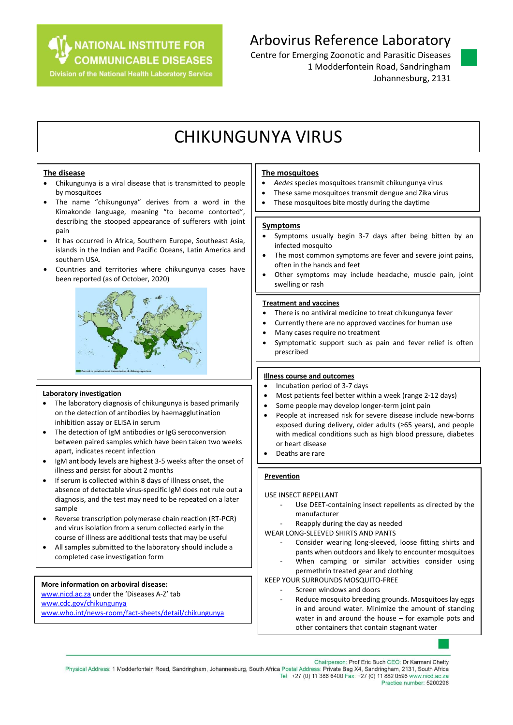**NATIONAL INSTITUTE FOR COMMUNICABLE DISEASES** 

**Division of the National Health Laboratory Service** 

### Arbovirus Reference Laboratory

Centre for Emerging Zoonotic and Parasitic Diseases 1 Modderfontein Road, Sandringham Johannesburg, 2131

# CHIKUNGUNYA VIRUS

#### **The disease**

- Chikungunya is a viral disease that is transmitted to people by mosquitoes
- The name "chikungunya" derives from a word in the Kimakonde language, meaning "to become contorted", describing the stooped appearance of sufferers with joint pain
- It has occurred in Africa, Southern Europe, Southeast Asia, islands in the Indian and Pacific Oceans, Latin America and southern USA.
- Countries and territories where chikungunya cases have been reported (as of October, 2020)



#### **Laboratory investigation**

- The laboratory diagnosis of chikungunya is based primarily on the detection of antibodies by haemagglutination inhibition assay or ELISA in serum
- The detection of IgM antibodies or IgG seroconversion between paired samples which have been taken two weeks apart, indicates recent infection
- IgM antibody levels are highest 3-5 weeks after the onset of illness and persist for about 2 months
- If serum is collected within 8 days of illness onset, the absence of detectable virus-specific IgM does not rule out a diagnosis, and the test may need to be repeated on a later sample
- Reverse transcription polymerase chain reaction (RT-PCR) and virus isolation from a serum collected early in the course of illness are additional tests that may be useful
- All samples submitted to the laboratory should include a completed case investigation form

#### **More information on arboviral disease:**

[www.nicd.ac.za](http://www.nicd.ac.za/) under the 'Diseases A-Z' tab [www.cdc.gov/chikungunya](http://www.cdc.gov/chikungunya) [www.who.int/news-room/fact-sheets/detail/chikungunya](http://www.who.int/news-room/fact-sheets/detail/chikungunya)

#### **The mosquitoes**

- *Aedes* species mosquitoes transmit chikungunya virus
- These same mosquitoes transmit dengue and Zika virus
- These mosquitoes bite mostly during the daytime

#### **Symptoms**

- Symptoms usually begin 3-7 days after being bitten by an infected mosquito
- The most common symptoms are fever and severe joint pains, often in the hands and feet
- Other symptoms may include headache, muscle pain, joint swelling or rash

#### **Treatment and vaccines**

- There is no antiviral medicine to treat chikungunya fever
- Currently there are no approved vaccines for human use
- Many cases require no treatment
- Symptomatic support such as pain and fever relief is often prescribed

#### **Illness course and outcomes**

- Incubation period of 3-7 days
- Most patients feel better within a week (range 2-12 days)
- Some people may develop longer-term joint pain
- People at increased risk for severe disease include new-borns exposed during delivery, older adults (≥65 years), and people with medical conditions such as high blood pressure, diabetes or heart disease
- Deaths are rare

### **Prevention**

USE INSECT REPELLANT

- Use DEET-containing insect repellents as directed by the manufacturer
- Reapply during the day as needed

WEAR LONG-SLEEVED SHIRTS AND PANTS

- Consider wearing long-sleeved, loose fitting shirts and pants when outdoors and likely to encounter mosquitoes
- When camping or similar activities consider using permethrin treated gear and clothing

KEEP YOUR SURROUNDS MOSQUITO-FREE

- Screen windows and doors
- Reduce mosquito breeding grounds. Mosquitoes lay eggs in and around water. Minimize the amount of standing water in and around the house – for example pots and other containers that contain stagnant water

Chairperson: Prof Eric Buch CEO: Dr Karmani Chetty